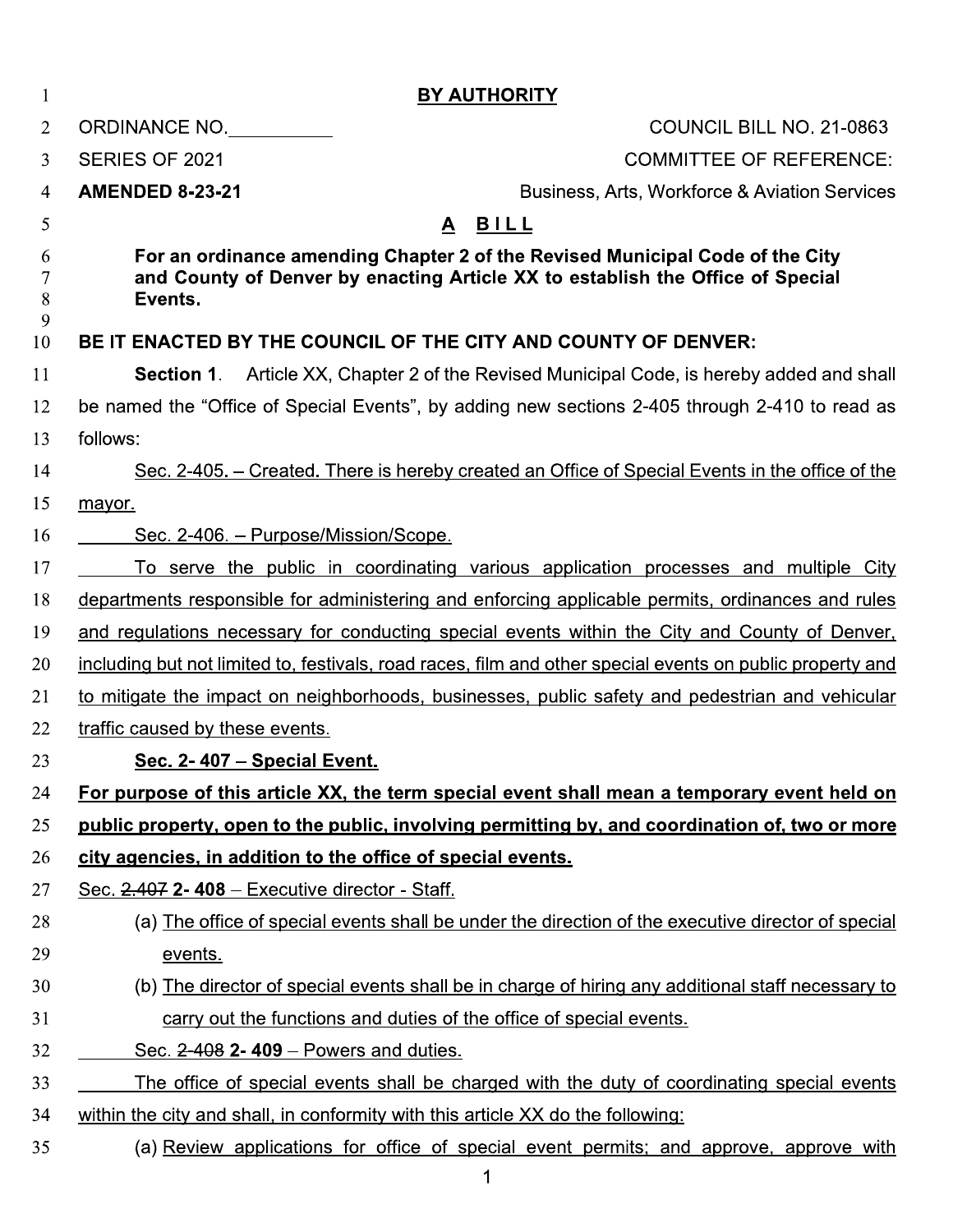| T                | <b>BY AUTHORITY</b>                                                                                                                                                        |
|------------------|----------------------------------------------------------------------------------------------------------------------------------------------------------------------------|
| $\overline{2}$   | <b>COUNCIL BILL NO. 21-0863</b><br>ORDINANCE NO.                                                                                                                           |
| 3                | <b>COMMITTEE OF REFERENCE:</b><br><b>SERIES OF 2021</b>                                                                                                                    |
| 4                | <b>AMENDED 8-23-21</b><br><b>Business, Arts, Workforce &amp; Aviation Services</b>                                                                                         |
| 5                | <u>A BILL</u>                                                                                                                                                              |
| 6<br>7<br>8<br>9 | For an ordinance amending Chapter 2 of the Revised Municipal Code of the City<br>and County of Denver by enacting Article XX to establish the Office of Special<br>Events. |
| 10               | BE IT ENACTED BY THE COUNCIL OF THE CITY AND COUNTY OF DENVER:                                                                                                             |
| 11               | <b>Section 1.</b> Article XX, Chapter 2 of the Revised Municipal Code, is hereby added and shall                                                                           |
| 12               | be named the "Office of Special Events", by adding new sections 2-405 through 2-410 to read as                                                                             |
| 13               | follows:                                                                                                                                                                   |
| 14               | Sec. 2-405. – Created. There is hereby created an Office of Special Events in the office of the                                                                            |
| 15               | mayor.                                                                                                                                                                     |
| 16               | Sec. 2-406. - Purpose/Mission/Scope.                                                                                                                                       |
| 17               | To serve the public in coordinating various application processes and multiple City                                                                                        |
| 18               | departments responsible for administering and enforcing applicable permits, ordinances and rules                                                                           |
| 19               | and regulations necessary for conducting special events within the City and County of Denver,                                                                              |
| 20               | including but not limited to, festivals, road races, film and other special events on public property and                                                                  |
| 21               | to mitigate the impact on neighborhoods, businesses, public safety and pedestrian and vehicular                                                                            |
| 22               | traffic caused by these events.                                                                                                                                            |
| 23               | Sec. 2-407 - Special Event.                                                                                                                                                |
| 24               | For purpose of this article XX, the term special event shall mean a temporary event held on                                                                                |
| 25               | public property, open to the public, involving permitting by, and coordination of, two or more                                                                             |
| 26               | city agencies, in addition to the office of special events.                                                                                                                |
| 27               | Sec. 2.407 2-408 - Executive director - Staff.                                                                                                                             |
| 28               | (a) The office of special events shall be under the direction of the executive director of special                                                                         |
| 29               | events.                                                                                                                                                                    |
| 30               | (b) The director of special events shall be in charge of hiring any additional staff necessary to                                                                          |
| 31               | carry out the functions and duties of the office of special events.                                                                                                        |
| 32               | Sec. 2-408 2-409 – Powers and duties.                                                                                                                                      |
| 33               | The office of special events shall be charged with the duty of coordinating special events                                                                                 |
| 34               | within the city and shall, in conformity with this article XX do the following:                                                                                            |
| 35               | (a) Review applications for office of special event permits; and approve, approve with                                                                                     |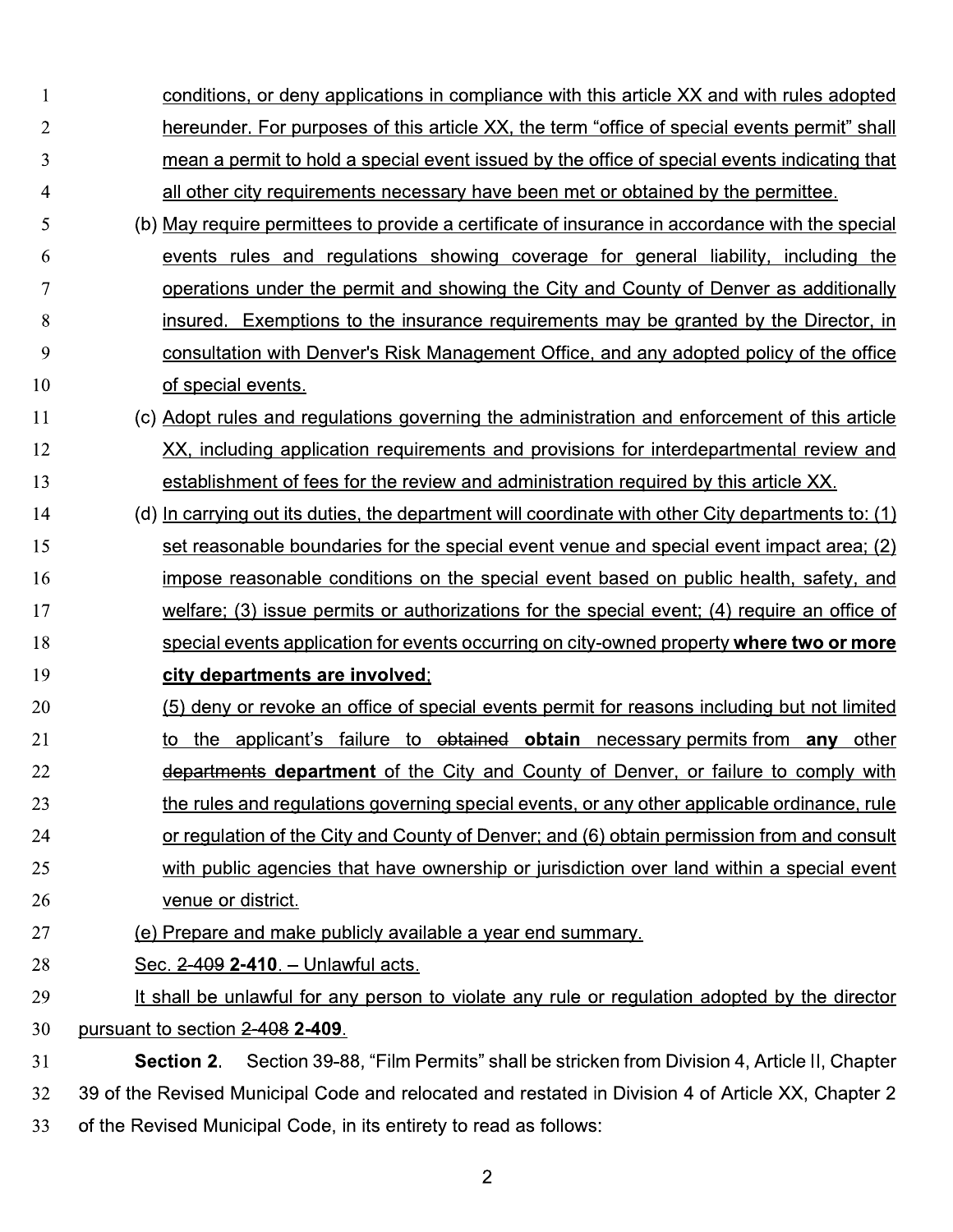| $\mathbf{1}$   | conditions, or deny applications in compliance with this article XX and with rules adopted         |
|----------------|----------------------------------------------------------------------------------------------------|
| $\overline{2}$ | hereunder. For purposes of this article XX, the term "office of special events permit" shall       |
| 3              | mean a permit to hold a special event issued by the office of special events indicating that       |
| 4              | all other city requirements necessary have been met or obtained by the permittee.                  |
| 5              | (b) May require permittees to provide a certificate of insurance in accordance with the special    |
| 6              | events rules and regulations showing coverage for general liability, including the                 |
| 7              | operations under the permit and showing the City and County of Denver as additionally              |
| 8              | insured. Exemptions to the insurance requirements may be granted by the Director, in               |
| 9              | consultation with Denver's Risk Management Office, and any adopted policy of the office            |
| 10             | of special events.                                                                                 |
| 11             | (c) Adopt rules and regulations governing the administration and enforcement of this article       |
| 12             | XX, including application requirements and provisions for interdepartmental review and             |
| 13             | establishment of fees for the review and administration required by this article XX.               |
| 14             | (d) In carrying out its duties, the department will coordinate with other City departments to: (1) |
| 15             | set reasonable boundaries for the special event venue and special event impact area; (2)           |
| 16             | impose reasonable conditions on the special event based on public health, safety, and              |
| 17             | welfare; (3) issue permits or authorizations for the special event; (4) require an office of       |
| 18             | special events application for events occurring on city-owned property where two or more           |
| 19             | city departments are involved;                                                                     |
| 20             | (5) deny or revoke an office of special events permit for reasons including but not limited        |
| 21             | the applicant's failure to obtained obtain necessary permits from any other                        |
| 22             | departments department of the City and County of Denver, or failure to comply with                 |
| 23             | the rules and regulations governing special events, or any other applicable ordinance, rule        |
| 24             | or regulation of the City and County of Denver; and (6) obtain permission from and consult         |
| 25             | with public agencies that have ownership or jurisdiction over land within a special event          |
| 26             | venue or district.                                                                                 |
| 27             | (e) Prepare and make publicly available a year end summary.                                        |
| 28             | Sec. 2-409 2-410. - Unlawful acts.                                                                 |
| 29             | It shall be unlawful for any person to violate any rule or regulation adopted by the director      |
| 30             | pursuant to section 2-408 2-409.                                                                   |
| 31             | Section 39-88, "Film Permits" shall be stricken from Division 4, Article II, Chapter<br>Section 2. |
| 32             | 39 of the Revised Municipal Code and relocated and restated in Division 4 of Article XX, Chapter 2 |

33 of the Revised Municipal Code, in its entirety to read as follows: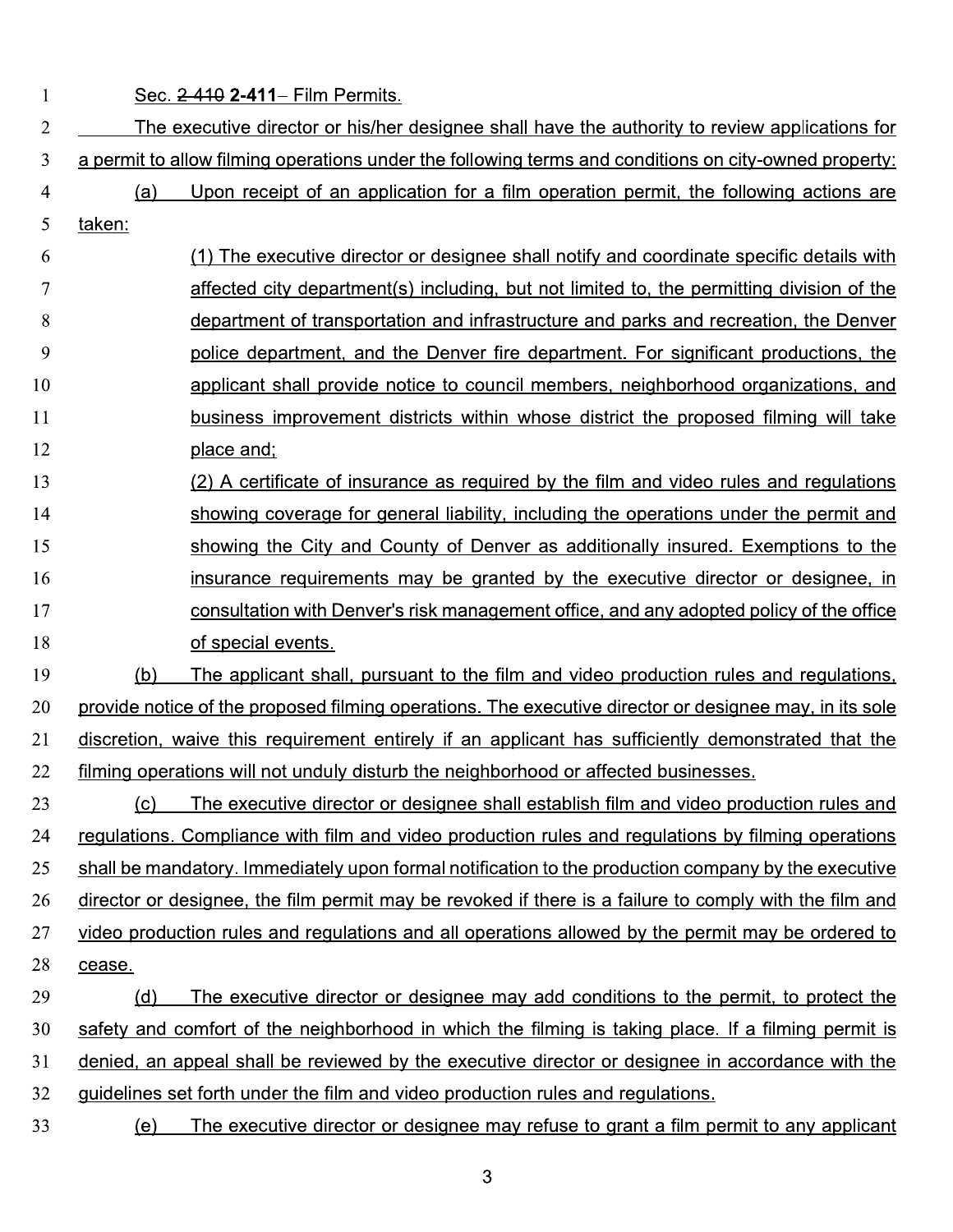$\mathbf{1}$ 

Sec. 2-410 2-411- Film Permits.

|                 |                                                                                                       | $500.2$ Tiv $2 - 11$ in the ching                                                                      |  |  |  |
|-----------------|-------------------------------------------------------------------------------------------------------|--------------------------------------------------------------------------------------------------------|--|--|--|
| $\overline{2}$  | The executive director or his/her designee shall have the authority to review applications for        |                                                                                                        |  |  |  |
| 3               | a permit to allow filming operations under the following terms and conditions on city-owned property: |                                                                                                        |  |  |  |
| 4               | (a)                                                                                                   | Upon receipt of an application for a film operation permit, the following actions are                  |  |  |  |
| 5               | taken:                                                                                                |                                                                                                        |  |  |  |
| 6               |                                                                                                       | The executive director or designee shall notify and coordinate specific details with                   |  |  |  |
| 7               |                                                                                                       | affected city department(s) including, but not limited to, the permitting division of the              |  |  |  |
| 8               |                                                                                                       | department of transportation and infrastructure and parks and recreation, the Denver                   |  |  |  |
| 9               |                                                                                                       | police department, and the Denver fire department. For significant productions, the                    |  |  |  |
| 10              |                                                                                                       | applicant shall provide notice to council members, neighborhood organizations, and                     |  |  |  |
| 11              |                                                                                                       | business improvement districts within whose district the proposed filming will take                    |  |  |  |
| $\overline{12}$ |                                                                                                       | <u>place and;</u>                                                                                      |  |  |  |
| 13              |                                                                                                       | (2) A certificate of insurance as required by the film and video rules and regulations                 |  |  |  |
| 14              |                                                                                                       | showing coverage for general liability, including the operations under the permit and                  |  |  |  |
| 15              |                                                                                                       | showing the City and County of Denver as additionally insured. Exemptions to the                       |  |  |  |
| 16              |                                                                                                       | insurance requirements may be granted by the executive director or designee, in                        |  |  |  |
| 17              |                                                                                                       | consultation with Denver's risk management office, and any adopted policy of the office                |  |  |  |
| 18              |                                                                                                       | of special events.                                                                                     |  |  |  |
| 19              | (b)                                                                                                   | The applicant shall, pursuant to the film and video production rules and regulations,                  |  |  |  |
| 20              |                                                                                                       | provide notice of the proposed filming operations. The executive director or designee may, in its sole |  |  |  |
| 21              |                                                                                                       | discretion, waive this requirement entirely if an applicant has sufficiently demonstrated that the     |  |  |  |
| $^{22}$         |                                                                                                       | filming operations will not unduly disturb the neighborhood or affected businesses.                    |  |  |  |
| 23              | <u>(c)</u>                                                                                            | The executive director or designee shall establish film and video production rules and                 |  |  |  |
| 24              |                                                                                                       | regulations. Compliance with film and video production rules and regulations by filming operations     |  |  |  |
| 25.             |                                                                                                       | shall be mandatory. Immediately upon formal notification to the production company by the executive    |  |  |  |
| 26              |                                                                                                       | director or designee, the film permit may be revoked if there is a failure to comply with the film and |  |  |  |
| 27              |                                                                                                       | video production rules and regulations and all operations allowed by the permit may be ordered to      |  |  |  |
| 28              | cease.                                                                                                |                                                                                                        |  |  |  |
| 29              | (d)                                                                                                   | The executive director or designee may add conditions to the permit, to protect the                    |  |  |  |
| 30              |                                                                                                       | safety and comfort of the neighborhood in which the filming is taking place. If a filming permit is    |  |  |  |
| 31              |                                                                                                       | denied, an appeal shall be reviewed by the executive director or designee in accordance with the       |  |  |  |
| 32 <sub>2</sub> |                                                                                                       | guidelines set forth under the film and video production rules and regulations.                        |  |  |  |
| 33              | (e)                                                                                                   | The executive director or designee may refuse to grant a film permit to any applicant                  |  |  |  |